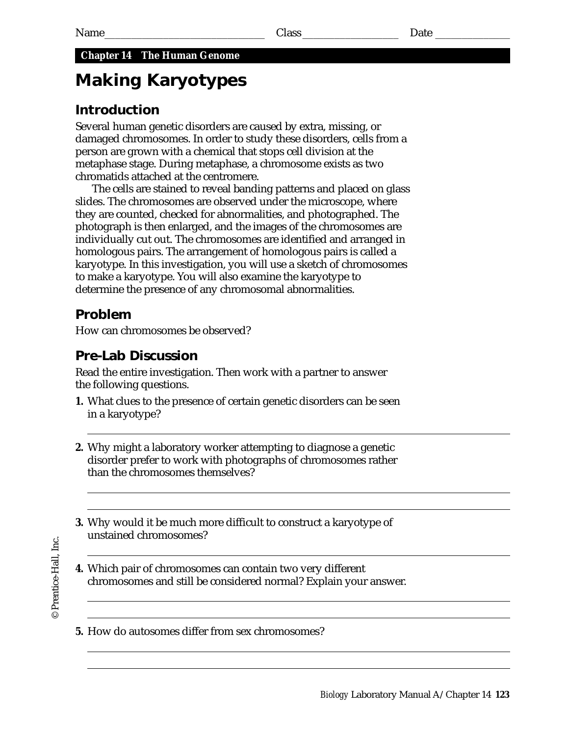## **Chapter 14 The Human Genome**

# **Making Karyotypes**

# **Introduction**

Several human genetic disorders are caused by extra, missing, or damaged chromosomes. In order to study these disorders, cells from a person are grown with a chemical that stops cell division at the metaphase stage. During metaphase, a chromosome exists as two chromatids attached at the centromere.

The cells are stained to reveal banding patterns and placed on glass slides. The chromosomes are observed under the microscope, where they are counted, checked for abnormalities, and photographed. The photograph is then enlarged, and the images of the chromosomes are individually cut out. The chromosomes are identified and arranged in homologous pairs. The arrangement of homologous pairs is called a karyotype. In this investigation, you will use a sketch of chromosomes to make a karyotype. You will also examine the karyotype to determine the presence of any chromosomal abnormalities.

# **Problem**

How can chromosomes be observed?

# **Pre-Lab Discussion**

Read the entire investigation. Then work with a partner to answer the following questions.

- **1.** What clues to the presence of certain genetic disorders can be seen in a karyotype?
- **2.** Why might a laboratory worker attempting to diagnose a genetic disorder prefer to work with photographs of chromosomes rather than the chromosomes themselves?
- **3.** Why would it be much more difficult to construct a karyotype of unstained chromosomes?

- **4.** Which pair of chromosomes can contain two very different chromosomes and still be considered normal? Explain your answer.
- **5.** How do autosomes differ from sex chromosomes?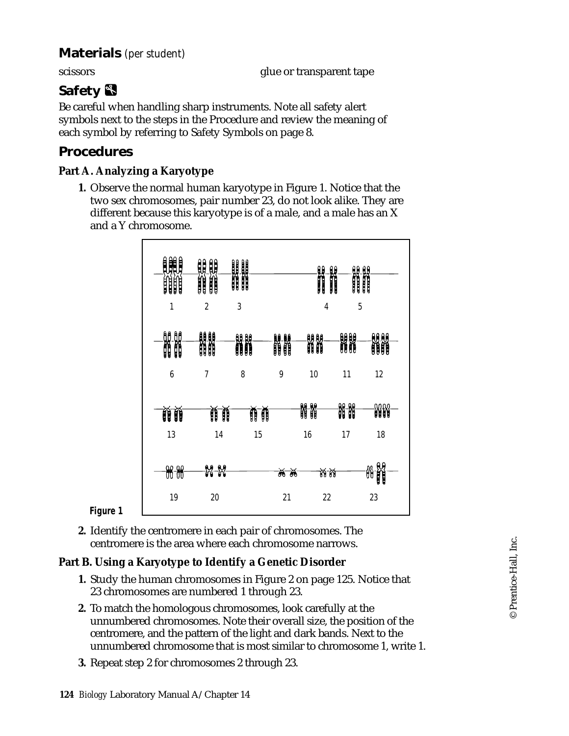# **Materials** *(per student)*

scissors glue or transparent tape

# **Safety**

Be careful when handling sharp instruments. Note all safety alert symbols next to the steps in the Procedure and review the meaning of each symbol by referring to Safety Symbols on page 8.

### **Procedures**

#### **Part A. Analyzing a Karyotype**

**1.** Observe the normal human karyotype in Figure 1. Notice that the two sex chromosomes, pair number 23, do not look alike. They are different because this karyotype is of a male, and a male has an X and a Y chromosome.



**Figure 1**

**2.** Identify the centromere in each pair of chromosomes. The centromere is the area where each chromosome narrows.

#### **Part B. Using a Karyotype to Identify a Genetic Disorder**

- **1.** Study the human chromosomes in Figure 2 on page 125. Notice that 23 chromosomes are numbered 1 through 23.
- **2.** To match the homologous chromosomes, look carefully at the unnumbered chromosomes. Note their overall size, the position of the centromere, and the pattern of the light and dark bands. Next to the unnumbered chromosome that is most similar to chromosome 1, write 1.
- **3.** Repeat step 2 for chromosomes 2 through 23.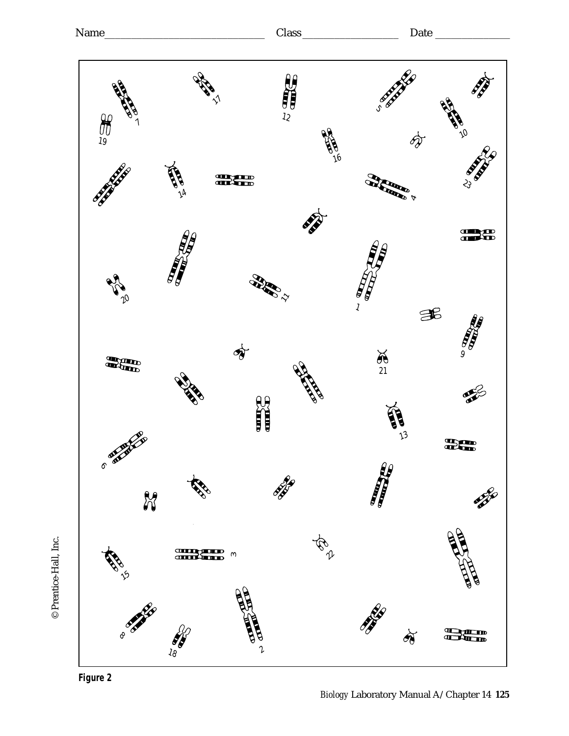



© Prentice-Hall, Inc.

© Prentice-Hall, Inc.

*Biology* Laboratory Manual A/Chapter 14 **125**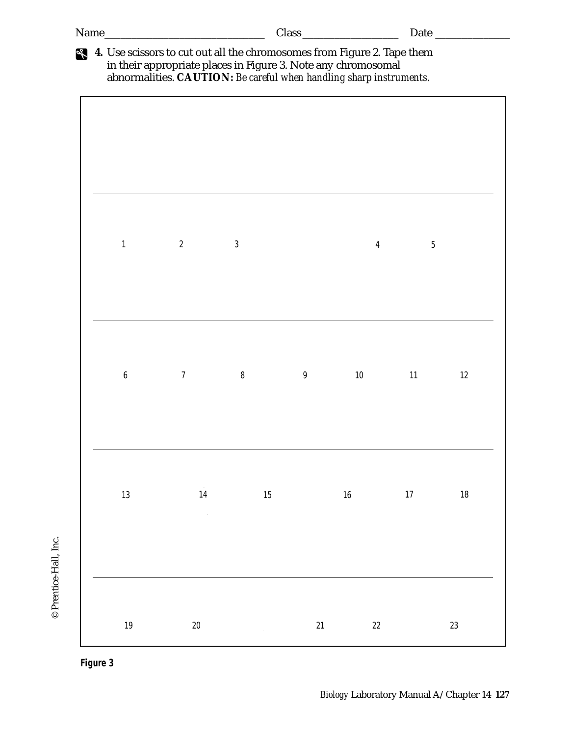| Name_                                                                                                                                                                                                           |                |                |    |                | Date $\overline{\phantom{a}}$ |        |
|-----------------------------------------------------------------------------------------------------------------------------------------------------------------------------------------------------------------|----------------|----------------|----|----------------|-------------------------------|--------|
| 4. Use scissors to cut out all the chromosomes from Figure 2. Tape them<br>in their appropriate places in Figure 3. Note any chromosomal<br>abnormalities. CAUTION: Be careful when handling sharp instruments. |                |                |    |                |                               |        |
|                                                                                                                                                                                                                 |                |                |    |                |                               |        |
|                                                                                                                                                                                                                 |                |                |    |                |                               |        |
|                                                                                                                                                                                                                 |                |                |    |                |                               |        |
|                                                                                                                                                                                                                 |                |                |    |                |                               |        |
|                                                                                                                                                                                                                 |                |                |    |                |                               |        |
| $\mathbf{1}$                                                                                                                                                                                                    | $\overline{2}$ | $\mathfrak{Z}$ |    | $\overline{4}$ | $5\,$                         |        |
|                                                                                                                                                                                                                 |                |                |    |                |                               |        |
|                                                                                                                                                                                                                 |                |                |    |                |                               |        |
|                                                                                                                                                                                                                 |                |                |    |                |                               |        |
|                                                                                                                                                                                                                 |                |                |    |                |                               |        |
| $\boldsymbol{6}$                                                                                                                                                                                                | $\overline{7}$ | $\, 8$         | 9  | 10             | 11                            | 12     |
|                                                                                                                                                                                                                 |                |                |    |                |                               |        |
|                                                                                                                                                                                                                 |                |                |    |                |                               |        |
|                                                                                                                                                                                                                 |                |                |    |                |                               |        |
|                                                                                                                                                                                                                 |                |                |    |                |                               |        |
| $13\,$                                                                                                                                                                                                          | 14             | $15\,$         |    | $16\,$         | $17$                          | $18\,$ |
|                                                                                                                                                                                                                 | $\sim$         |                |    |                |                               |        |
|                                                                                                                                                                                                                 |                |                |    |                |                               |        |
|                                                                                                                                                                                                                 |                |                |    |                |                               |        |
|                                                                                                                                                                                                                 |                |                |    |                |                               |        |
| $19\,$                                                                                                                                                                                                          | $20\,$         |                | 21 | $22\,$         |                               | 23     |



**Figure 3**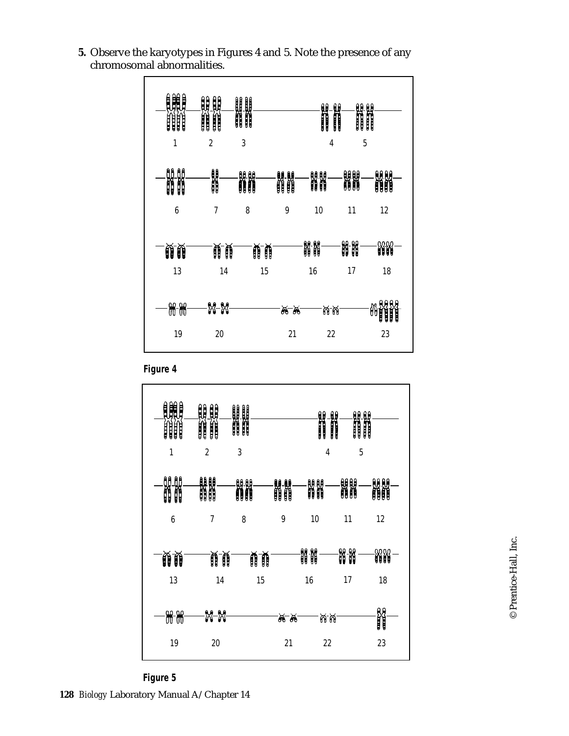

**5.** Observe the karyotypes in Figures 4 and 5. Note the presence of any chromosomal abnormalities.

**Figure 4**



**128** *Biology* Laboratory Manual A/Chapter 14 **Figure 5**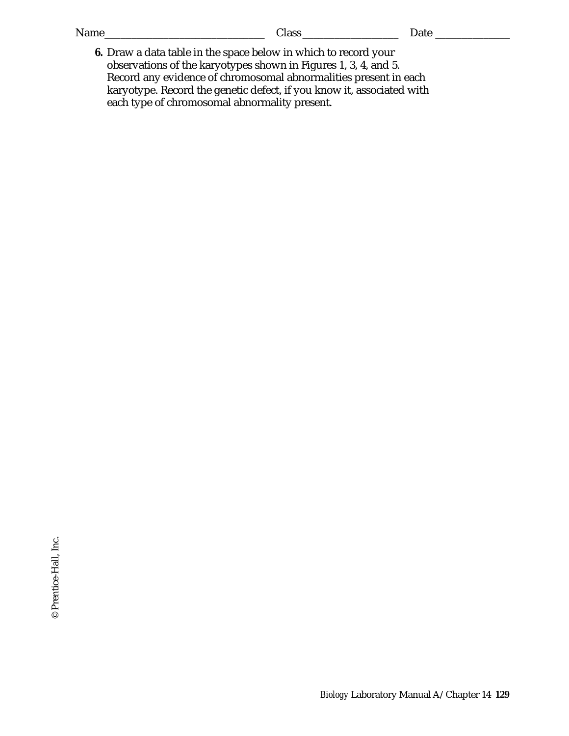| Draw a data table in the space below in which to record your |  |
|--------------------------------------------------------------|--|

**6.** Draw a data table in the space below in which to record your observations of the karyotypes shown in Figures 1, 3, 4, and 5. Record any evidence of chromosomal abnormalities present in each karyotype. Record the genetic defect, if you know it, associated with each type of chromosomal abnormality present.